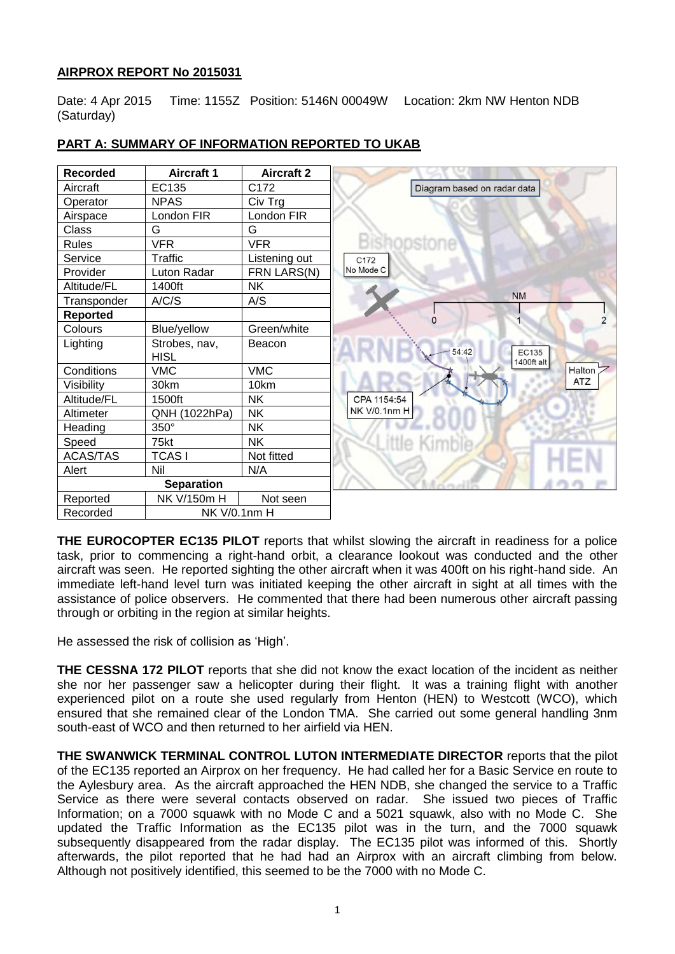# **AIRPROX REPORT No 2015031**

Date: 4 Apr 2015 Time: 1155Z Position: 5146N 00049W Location: 2km NW Henton NDB (Saturday)

| <b>Recorded</b> | <b>Aircraft 1</b> | <b>Aircraft 2</b> |
|-----------------|-------------------|-------------------|
| Aircraft        | EC135             | C172              |
| Operator        | <b>NPAS</b>       | Civ Trg           |
| Airspace        | London FIR        | London FIR        |
| Class           | G                 | G                 |
| Rules           | <b>VFR</b>        | <b>VFR</b>        |
| Service         | Traffic           | Listening out     |
| Provider        | Luton Radar       | FRN LARS(N)       |
| Altitude/FL     | 1400ft            | <b>NK</b>         |
| Transponder     | A/C/S             | A/S               |
| <b>Reported</b> |                   |                   |
| Colours         | Blue/yellow       | Green/white       |
| Lighting        | Strobes, nav,     | Beacon            |
|                 | <b>HISL</b>       |                   |
| Conditions      | <b>VMC</b>        | <b>VMC</b>        |
| Visibility      | 30km              | 10km              |
| Altitude/FL     | 1500ft            | <b>NK</b>         |
| Altimeter       | QNH (1022hPa)     | <b>NK</b>         |
| Heading         | 350°              | <b>NK</b>         |
| Speed           | 75kt              | <b>NK</b>         |
| <b>ACAS/TAS</b> | <b>TCASI</b>      | Not fitted        |
| Alert           | Nil               | N/A               |
|                 | <b>Separation</b> |                   |
| Reported        | NK V/150m H       | Not seen          |
| Recorded        | NK V/0.1nm H      |                   |

# **PART A: SUMMARY OF INFORMATION REPORTED TO UKAB**

**THE EUROCOPTER EC135 PILOT** reports that whilst slowing the aircraft in readiness for a police task, prior to commencing a right-hand orbit, a clearance lookout was conducted and the other aircraft was seen. He reported sighting the other aircraft when it was 400ft on his right-hand side. An immediate left-hand level turn was initiated keeping the other aircraft in sight at all times with the assistance of police observers. He commented that there had been numerous other aircraft passing through or orbiting in the region at similar heights.

He assessed the risk of collision as 'High'.

**THE CESSNA 172 PILOT** reports that she did not know the exact location of the incident as neither she nor her passenger saw a helicopter during their flight. It was a training flight with another experienced pilot on a route she used regularly from Henton (HEN) to Westcott (WCO), which ensured that she remained clear of the London TMA. She carried out some general handling 3nm south-east of WCO and then returned to her airfield via HEN.

**THE SWANWICK TERMINAL CONTROL LUTON INTERMEDIATE DIRECTOR** reports that the pilot of the EC135 reported an Airprox on her frequency. He had called her for a Basic Service en route to the Aylesbury area. As the aircraft approached the HEN NDB, she changed the service to a Traffic Service as there were several contacts observed on radar. She issued two pieces of Traffic Information; on a 7000 squawk with no Mode C and a 5021 squawk, also with no Mode C. She updated the Traffic Information as the EC135 pilot was in the turn, and the 7000 squawk subsequently disappeared from the radar display. The EC135 pilot was informed of this. Shortly afterwards, the pilot reported that he had had an Airprox with an aircraft climbing from below. Although not positively identified, this seemed to be the 7000 with no Mode C.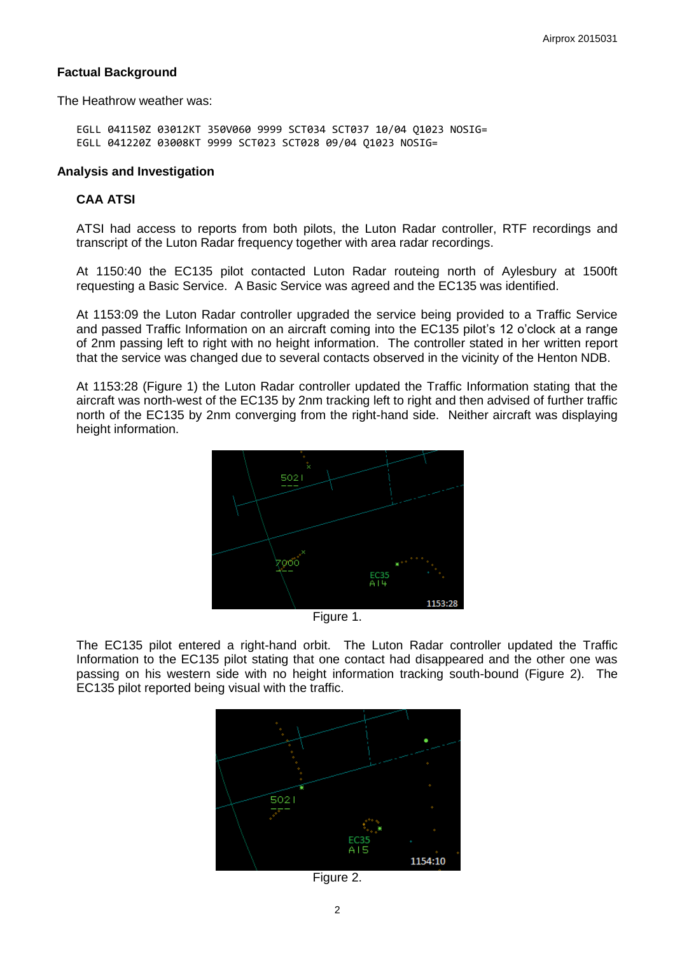### **Factual Background**

The Heathrow weather was:

EGLL 041150Z 03012KT 350V060 9999 SCT034 SCT037 10/04 Q1023 NOSIG= EGLL 041220Z 03008KT 9999 SCT023 SCT028 09/04 Q1023 NOSIG=

#### **Analysis and Investigation**

#### **CAA ATSI**

ATSI had access to reports from both pilots, the Luton Radar controller, RTF recordings and transcript of the Luton Radar frequency together with area radar recordings.

At 1150:40 the EC135 pilot contacted Luton Radar routeing north of Aylesbury at 1500ft requesting a Basic Service. A Basic Service was agreed and the EC135 was identified.

At 1153:09 the Luton Radar controller upgraded the service being provided to a Traffic Service and passed Traffic Information on an aircraft coming into the EC135 pilot's 12 o'clock at a range of 2nm passing left to right with no height information. The controller stated in her written report that the service was changed due to several contacts observed in the vicinity of the Henton NDB.

At 1153:28 (Figure 1) the Luton Radar controller updated the Traffic Information stating that the aircraft was north-west of the EC135 by 2nm tracking left to right and then advised of further traffic north of the EC135 by 2nm converging from the right-hand side. Neither aircraft was displaying height information.



Figure 1.

The EC135 pilot entered a right-hand orbit. The Luton Radar controller updated the Traffic Information to the EC135 pilot stating that one contact had disappeared and the other one was passing on his western side with no height information tracking south-bound (Figure 2). The EC135 pilot reported being visual with the traffic.



Figure 2.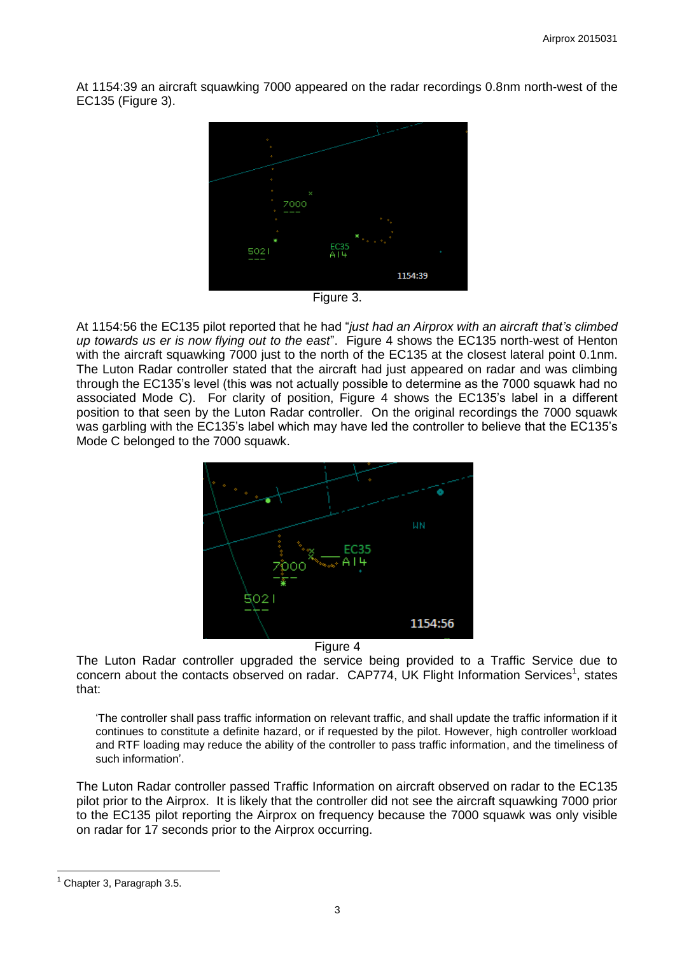At 1154:39 an aircraft squawking 7000 appeared on the radar recordings 0.8nm north-west of the EC135 (Figure 3).



Figure 3.

At 1154:56 the EC135 pilot reported that he had "*just had an Airprox with an aircraft that's climbed up towards us er is now flying out to the east*". Figure 4 shows the EC135 north-west of Henton with the aircraft squawking 7000 just to the north of the EC135 at the closest lateral point 0.1nm. The Luton Radar controller stated that the aircraft had just appeared on radar and was climbing through the EC135's level (this was not actually possible to determine as the 7000 squawk had no associated Mode C). For clarity of position, Figure 4 shows the EC135's label in a different position to that seen by the Luton Radar controller. On the original recordings the 7000 squawk was garbling with the EC135's label which may have led the controller to believe that the EC135's Mode C belonged to the 7000 squawk.



Figure 4

The Luton Radar controller upgraded the service being provided to a Traffic Service due to concern about the contacts observed on radar.  $CAP774$ , UK Flight Information Services<sup>1</sup>, states that:

'The controller shall pass traffic information on relevant traffic, and shall update the traffic information if it continues to constitute a definite hazard, or if requested by the pilot. However, high controller workload and RTF loading may reduce the ability of the controller to pass traffic information, and the timeliness of such information'.

The Luton Radar controller passed Traffic Information on aircraft observed on radar to the EC135 pilot prior to the Airprox. It is likely that the controller did not see the aircraft squawking 7000 prior to the EC135 pilot reporting the Airprox on frequency because the 7000 squawk was only visible on radar for 17 seconds prior to the Airprox occurring.

 $\overline{a}$ 

Chapter 3, Paragraph 3.5.